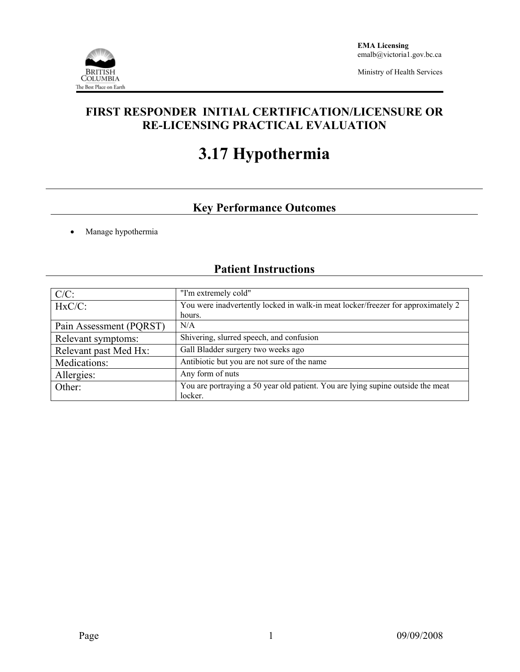

Ministry of Health Services

### **FIRST RESPONDER INITIAL CERTIFICATION/LICENSURE OR RE-LICENSING PRACTICAL EVALUATION**

# **3.17 Hypothermia**

## **Key Performance Outcomes**

• Manage hypothermia

# **Patient Instructions**

| $C/C$ :                 | "I'm extremely cold"                                                                       |  |  |
|-------------------------|--------------------------------------------------------------------------------------------|--|--|
| $HxC/C$ :               | You were inadvertently locked in walk-in meat locker/freezer for approximately 2           |  |  |
|                         | hours.                                                                                     |  |  |
| Pain Assessment (PQRST) | N/A                                                                                        |  |  |
| Relevant symptoms:      | Shivering, slurred speech, and confusion                                                   |  |  |
| Relevant past Med Hx:   | Gall Bladder surgery two weeks ago                                                         |  |  |
| Medications:            | Antibiotic but you are not sure of the name                                                |  |  |
| Allergies:              | Any form of nuts                                                                           |  |  |
| Other:                  | You are portraying a 50 year old patient. You are lying supine outside the meat<br>locker. |  |  |